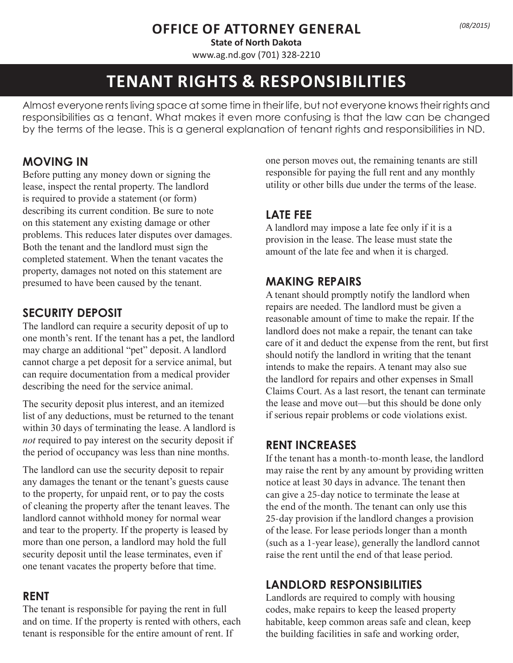# **OFFICE OF ATTORNEY GENERAL**

**State of North Dakota**  www.ag.nd.gov (701) 328-2210

# **TENANT RIGHTS & RESPONSIBILITIES**

Almost everyone rents living space at some time in their life, but not everyone knows their rights and responsibilities as a tenant. What makes it even more confusing is that the law can be changed by the terms of the lease. This is a general explanation of tenant rights and responsibilities in ND.

# **MOVING IN**

Before putting any money down or signing the lease, inspect the rental property. The landlord is required to provide a statement (or form) describing its current condition. Be sure to note on this statement any existing damage or other problems. This reduces later disputes over damages. Both the tenant and the landlord must sign the completed statement. When the tenant vacates the property, damages not noted on this statement are presumed to have been caused by the tenant.

## **SECURITY DEPOSIT**

The landlord can require a security deposit of up to one month's rent. If the tenant has a pet, the landlord may charge an additional "pet" deposit. A landlord cannot charge a pet deposit for a service animal, but can require documentation from a medical provider describing the need for the service animal.

The security deposit plus interest, and an itemized list of any deductions, must be returned to the tenant within 30 days of terminating the lease. A landlord is *not* required to pay interest on the security deposit if the period of occupancy was less than nine months.

The landlord can use the security deposit to repair any damages the tenant or the tenant's guests cause to the property, for unpaid rent, or to pay the costs of cleaning the property after the tenant leaves. The landlord cannot withhold money for normal wear and tear to the property. If the property is leased by more than one person, a landlord may hold the full security deposit until the lease terminates, even if one tenant vacates the property before that time.

#### **RENT**

The tenant is responsible for paying the rent in full and on time. If the property is rented with others, each tenant is responsible for the entire amount of rent. If

one person moves out, the remaining tenants are still responsible for paying the full rent and any monthly utility or other bills due under the terms of the lease.

# **LATE FEE**

A landlord may impose a late fee only if it is a provision in the lease. The lease must state the amount of the late fee and when it is charged.

#### **MAKING REPAIRS**

A tenant should promptly notify the landlord when repairs are needed. The landlord must be given a reasonable amount of time to make the repair. If the landlord does not make a repair, the tenant can take care of it and deduct the expense from the rent, but first should notify the landlord in writing that the tenant intends to make the repairs. A tenant may also sue the landlord for repairs and other expenses in Small Claims Court. As a last resort, the tenant can terminate the lease and move out—but this should be done only if serious repair problems or code violations exist.

#### **RENT INCREASES**

If the tenant has a month-to-month lease, the landlord may raise the rent by any amount by providing written notice at least 30 days in advance. The tenant then can give a 25-day notice to terminate the lease at the end of the month. The tenant can only use this 25-day provision if the landlord changes a provision of the lease. For lease periods longer than a month (such as a 1-year lease), generally the landlord cannot raise the rent until the end of that lease period.

## **LANDLORD RESPONSIBILITIES**

Landlords are required to comply with housing codes, make repairs to keep the leased property habitable, keep common areas safe and clean, keep the building facilities in safe and working order,